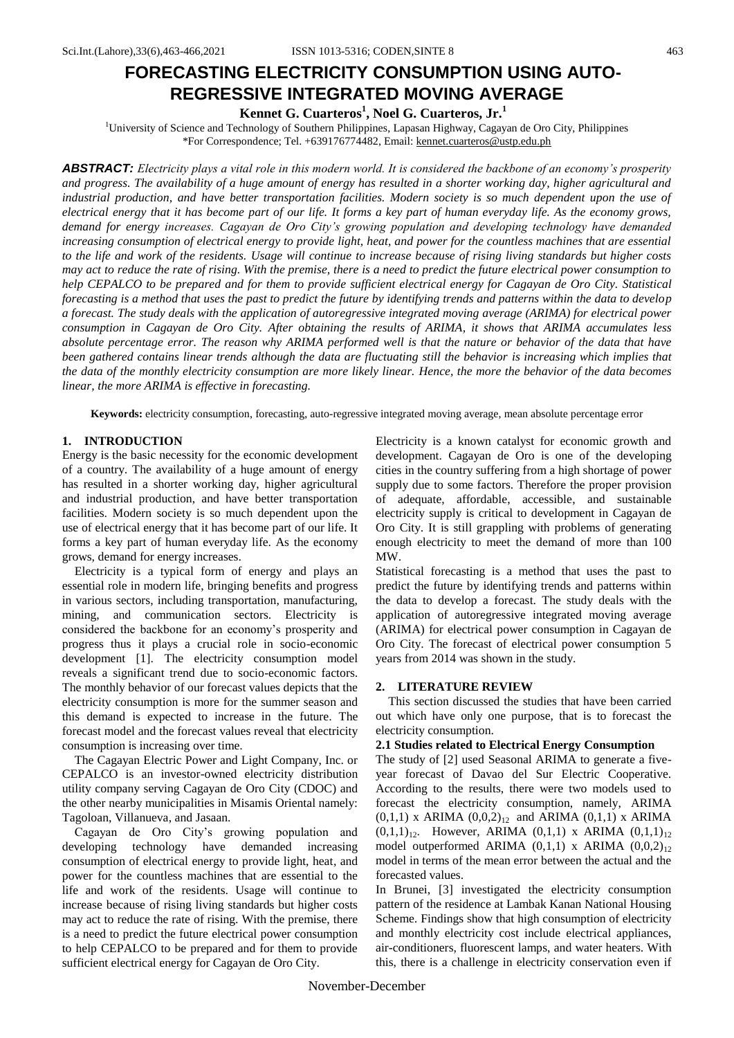# **FORECASTING ELECTRICITY CONSUMPTION USING AUTO-REGRESSIVE INTEGRATED MOVING AVERAGE**

**Kennet G. Cuarteros<sup>1</sup> , Noel G. Cuarteros, Jr.<sup>1</sup>**

<sup>1</sup>University of Science and Technology of Southern Philippines, Lapasan Highway, Cagayan de Oro City, Philippines \*For Correspondence; Tel. +639176774482, Email[: kennet.cuarteros@ustp.edu.ph](mailto:kennet.cuarteros@ustp.edu.ph)

*ABSTRACT: Electricity plays a vital role in this modern world. It is considered the backbone of an economy's prosperity and progress. The availability of a huge amount of energy has resulted in a shorter working day, higher agricultural and industrial production, and have better transportation facilities. Modern society is so much dependent upon the use of electrical energy that it has become part of our life. It forms a key part of human everyday life. As the economy grows, demand for energy increases. Cagayan de Oro City's growing population and developing technology have demanded increasing consumption of electrical energy to provide light, heat, and power for the countless machines that are essential to the life and work of the residents. Usage will continue to increase because of rising living standards but higher costs may act to reduce the rate of rising. With the premise, there is a need to predict the future electrical power consumption to help CEPALCO to be prepared and for them to provide sufficient electrical energy for Cagayan de Oro City. Statistical forecasting is a method that uses the past to predict the future by identifying trends and patterns within the data to develop a forecast. The study deals with the application of autoregressive integrated moving average (ARIMA) for electrical power consumption in Cagayan de Oro City. After obtaining the results of ARIMA, it shows that ARIMA accumulates less absolute percentage error. The reason why ARIMA performed well is that the nature or behavior of the data that have*  been gathered contains linear trends although the data are fluctuating still the behavior is increasing which implies that *the data of the monthly electricity consumption are more likely linear. Hence, the more the behavior of the data becomes linear, the more ARIMA is effective in forecasting.*

**Keywords:** electricity consumption, forecasting, auto-regressive integrated moving average, mean absolute percentage error

# **1. INTRODUCTION**

Energy is the basic necessity for the economic development of a country. The availability of a huge amount of energy has resulted in a shorter working day, higher agricultural and industrial production, and have better transportation facilities. Modern society is so much dependent upon the use of electrical energy that it has become part of our life. It forms a key part of human everyday life. As the economy grows, demand for energy increases.

Electricity is a typical form of energy and plays an essential role in modern life, bringing benefits and progress in various sectors, including transportation, manufacturing, mining, and communication sectors. Electricity is considered the backbone for an economy's prosperity and progress thus it plays a crucial role in socio-economic development [1]. The electricity consumption model reveals a significant trend due to socio-economic factors. The monthly behavior of our forecast values depicts that the electricity consumption is more for the summer season and this demand is expected to increase in the future. The forecast model and the forecast values reveal that electricity consumption is increasing over time.

The Cagayan Electric Power and Light Company, Inc. or CEPALCO is an investor-owned electricity distribution utility company serving Cagayan de Oro City (CDOC) and the other nearby municipalities in Misamis Oriental namely: Tagoloan, Villanueva, and Jasaan.

Cagayan de Oro City's growing population and developing technology have demanded increasing consumption of electrical energy to provide light, heat, and power for the countless machines that are essential to the life and work of the residents. Usage will continue to increase because of rising living standards but higher costs may act to reduce the rate of rising. With the premise, there is a need to predict the future electrical power consumption to help CEPALCO to be prepared and for them to provide sufficient electrical energy for Cagayan de Oro City.

Electricity is a known catalyst for economic growth and development. Cagayan de Oro is one of the developing cities in the country suffering from a high shortage of power supply due to some factors. Therefore the proper provision of adequate, affordable, accessible, and sustainable electricity supply is critical to development in Cagayan de Oro City. It is still grappling with problems of generating enough electricity to meet the demand of more than 100 MW.

Statistical forecasting is a method that uses the past to predict the future by identifying trends and patterns within the data to develop a forecast. The study deals with the application of autoregressive integrated moving average (ARIMA) for electrical power consumption in Cagayan de Oro City. The forecast of electrical power consumption 5 years from 2014 was shown in the study.

#### **2. LITERATURE REVIEW**

This section discussed the studies that have been carried out which have only one purpose, that is to forecast the electricity consumption.

#### **2.1 Studies related to Electrical Energy Consumption**

The study of [2] used Seasonal ARIMA to generate a fiveyear forecast of Davao del Sur Electric Cooperative. According to the results, there were two models used to forecast the electricity consumption, namely, ARIMA  $(0,1,1)$  x ARIMA  $(0,0,2)_{12}$  and ARIMA  $(0,1,1)$  x ARIMA  $(0,1,1)_{12}$ . However, ARIMA  $(0,1,1)$  x ARIMA  $(0,1,1)_{12}$ model outperformed ARIMA  $(0,1,1)$  x ARIMA  $(0,0,2)_{12}$ model in terms of the mean error between the actual and the forecasted values.

In Brunei, [3] investigated the electricity consumption pattern of the residence at Lambak Kanan National Housing Scheme. Findings show that high consumption of electricity and monthly electricity cost include electrical appliances, air-conditioners, fluorescent lamps, and water heaters. With this, there is a challenge in electricity conservation even if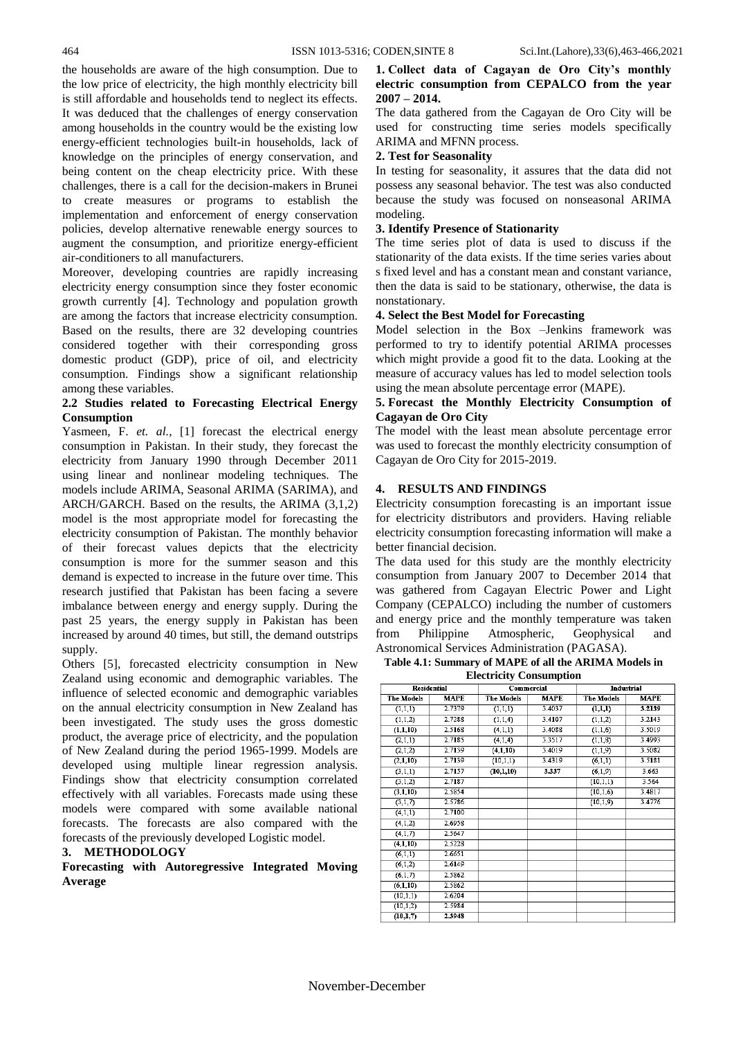the households are aware of the high consumption. Due to the low price of electricity, the high monthly electricity bill is still affordable and households tend to neglect its effects. It was deduced that the challenges of energy conservation among households in the country would be the existing low energy-efficient technologies built-in households, lack of knowledge on the principles of energy conservation, and being content on the cheap electricity price. With these challenges, there is a call for the decision-makers in Brunei to create measures or programs to establish the implementation and enforcement of energy conservation policies, develop alternative renewable energy sources to augment the consumption, and prioritize energy-efficient air-conditioners to all manufacturers.

Moreover, developing countries are rapidly increasing electricity energy consumption since they foster economic growth currently [4]. Technology and population growth are among the factors that increase electricity consumption. Based on the results, there are 32 developing countries considered together with their corresponding gross domestic product (GDP), price of oil, and electricity consumption. Findings show a significant relationship among these variables.

## **2.2 Studies related to Forecasting Electrical Energy Consumption**

Yasmeen, F. *et. al.*, [1] forecast the electrical energy consumption in Pakistan. In their study, they forecast the electricity from January 1990 through December 2011 using linear and nonlinear modeling techniques. The models include ARIMA, Seasonal ARIMA (SARIMA), and ARCH/GARCH. Based on the results, the ARIMA (3,1,2) model is the most appropriate model for forecasting the electricity consumption of Pakistan. The monthly behavior of their forecast values depicts that the electricity consumption is more for the summer season and this demand is expected to increase in the future over time. This research justified that Pakistan has been facing a severe imbalance between energy and energy supply. During the past 25 years, the energy supply in Pakistan has been increased by around 40 times, but still, the demand outstrips supply.

Others [5], forecasted electricity consumption in New Zealand using economic and demographic variables. The influence of selected economic and demographic variables on the annual electricity consumption in New Zealand has been investigated. The study uses the gross domestic product, the average price of electricity, and the population of New Zealand during the period 1965-1999. Models are developed using multiple linear regression analysis. Findings show that electricity consumption correlated effectively with all variables. Forecasts made using these models were compared with some available national forecasts. The forecasts are also compared with the forecasts of the previously developed Logistic model.

#### **3. METHODOLOGY**

**Forecasting with Autoregressive Integrated Moving Average**

## **1. Collect data of Cagayan de Oro City's monthly electric consumption from CEPALCO from the year 2007 – 2014.**

The data gathered from the Cagayan de Oro City will be used for constructing time series models specifically ARIMA and MFNN process.

# **2. Test for Seasonality**

In testing for seasonality, it assures that the data did not possess any seasonal behavior. The test was also conducted because the study was focused on nonseasonal ARIMA modeling.

#### **3. Identify Presence of Stationarity**

The time series plot of data is used to discuss if the stationarity of the data exists. If the time series varies about s fixed level and has a constant mean and constant variance, then the data is said to be stationary, otherwise, the data is nonstationary.

# **4. Select the Best Model for Forecasting**

Model selection in the Box –Jenkins framework was performed to try to identify potential ARIMA processes which might provide a good fit to the data. Looking at the measure of accuracy values has led to model selection tools using the mean absolute percentage error (MAPE).

# **5. Forecast the Monthly Electricity Consumption of Cagayan de Oro City**

The model with the least mean absolute percentage error was used to forecast the monthly electricity consumption of Cagayan de Oro City for 2015-2019.

#### **4. RESULTS AND FINDINGS**

Electricity consumption forecasting is an important issue for electricity distributors and providers. Having reliable electricity consumption forecasting information will make a better financial decision.

The data used for this study are the monthly electricity consumption from January 2007 to December 2014 that was gathered from Cagayan Electric Power and Light Company (CEPALCO) including the number of customers and energy price and the monthly temperature was taken from Philippine Atmospheric, Geophysical and Astronomical Services Administration (PAGASA).

#### **Table 4.1: Summary of MAPE of all the ARIMA Models in Electricity Consumption**

| <b>Residential</b> |             |                   | Commercial  | Industrial        |             |  |
|--------------------|-------------|-------------------|-------------|-------------------|-------------|--|
| <b>The Models</b>  | <b>MAPE</b> | <b>The Models</b> | <b>MAPE</b> | <b>The Models</b> | <b>MAPE</b> |  |
| (1,1,1)            | 2.7379      | (1,1,1)           | 3.4037      | (1,1,1)           | 3.2139      |  |
| (1,1,2)            | 2.7288      | (1,1,4)           | 3.4107      | (1,1,2)           | 3.2143      |  |
| (1,1,10)           | 2.5168      | (4,1,1)           | 3.4088      | (1,1,6)           | 3.5019      |  |
| (2,1,1)            | 2.7185      | (4,1,4)           | 3.3517      | (1,1,8)           | 3.4993      |  |
| (2,1,2)            | 2.7139      | (4,1,10)          | 3.4019      | (1,1,9)           | 3.5082      |  |
| (2,1,10)           | 2.7139      | (10,1,1)          | 3.4319      | (6,1,1)           | 3.5181      |  |
| (3,1,1)            | 2.7157      | (10, 1, 10)       | 3.337       | (6,1,9)           | 3.663       |  |
| (3,1,2)            | 2.7187      |                   |             | (10,1,1)          | 3.564       |  |
| (3,1,10)           | 2.5854      |                   |             | (10,1,6)          | 3.4817      |  |
| (3,1,7)            | 2.5786      |                   |             | (10, 1, 9)        | 3.4776      |  |
| (4,1,1)            | 2.7100      |                   |             |                   |             |  |
| (4,1,2)            | 2.6958      |                   |             |                   |             |  |
| (4,1,7)            | 2.5647      |                   |             |                   |             |  |
| (4,1,10)           | 2.5228      |                   |             |                   |             |  |
| (6,1,1)            | 2.6651      |                   |             |                   |             |  |
| (6,1,2)            | 2.6149      |                   |             |                   |             |  |
| (6,1,7)            | 2.5862      |                   |             |                   |             |  |
| (6,1,10)           | 2.5862      |                   |             |                   |             |  |
| (10,1,1)           | 2.6204      |                   |             |                   |             |  |
| (10,1,2)           | 2.5984      |                   |             |                   |             |  |
| (10, 1, 7)         | 2.3948      |                   |             |                   |             |  |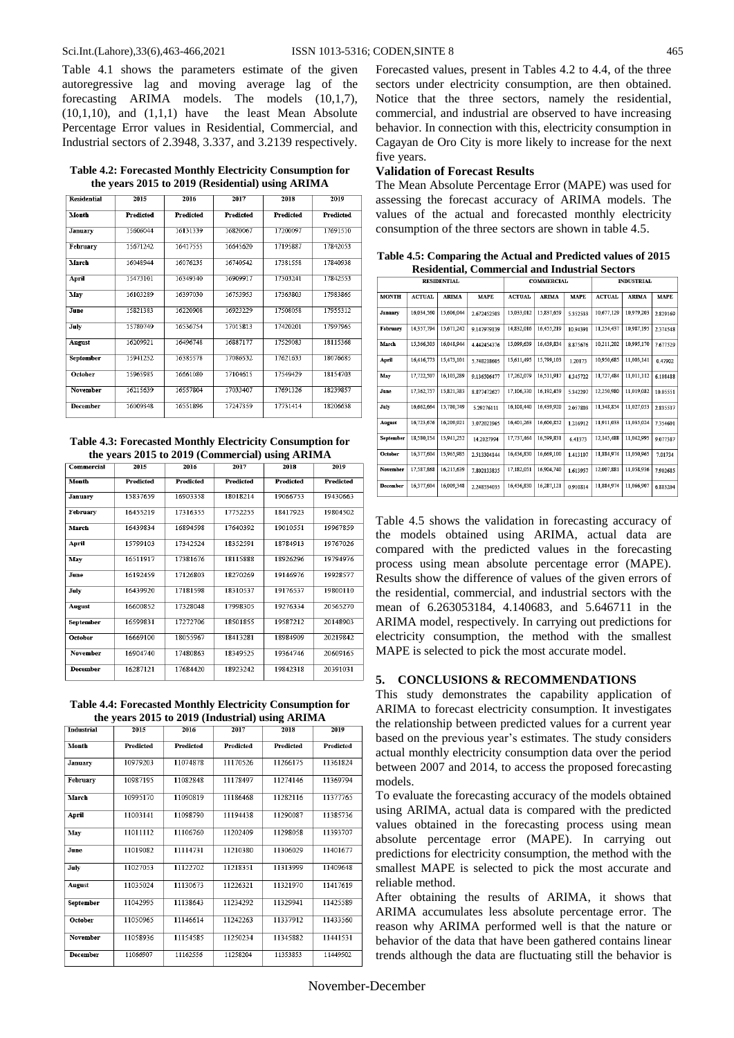Table 4.1 shows the parameters estimate of the given autoregressive lag and moving average lag of the forecasting ARIMA models. The models (10,1,7),  $(10,1,10)$ , and  $(1,1,1)$  have the least Mean Absolute Percentage Error values in Residential, Commercial, and Industrial sectors of 2.3948, 3.337, and 3.2139 respectively.

**Table 4.2: Forecasted Monthly Electricity Consumption for the years 2015 to 2019 (Residential) using ARIMA**

| 2015             | 2016             | 2017             | 2018             | 2019<br><b>Predicted</b> |  |
|------------------|------------------|------------------|------------------|--------------------------|--|
| <b>Predicted</b> | <b>Predicted</b> | <b>Predicted</b> | <b>Predicted</b> |                          |  |
| 15606044         | 16131339         | 16820067         | 17200097         | 17691510                 |  |
| 15671242         | 16417555         | 16645620         | 17195887         | 17842053                 |  |
| 16048944         | 16076235         | 16740542         | 17381558         | 17840938                 |  |
| 15473101         | 16349340         | 16909917         | 17303241         | 17842553                 |  |
| 16103289         | 16397030         | 16753953         | 17363803         | 17983865                 |  |
| 15821383         | 16220908         | 16923229         | 17508058         | 17955312                 |  |
| 15780749         | 16536754         | 17015813         | 17420201         | 17997965                 |  |
| 16209921         | 16496748         | 16887177         | 17529083         | 18115368                 |  |
| 15941252         | 16385578         | 17086532         | 17621633         | 18076685                 |  |
| 15965985         | 16661080         | 17104615         | 17549429         | 18154703                 |  |
| 16215639         | 16557804         | 17033407         | 17691326         | 18239857                 |  |
| 16009348         | 16551896         | 17247359         | 17731414         | 18206638                 |  |
|                  |                  |                  |                  |                          |  |

**Table 4.3: Forecasted Monthly Electricity Consumption for the years 2015 to 2019 (Commercial) using ARIMA**

| Commercial      | 2015             | 2016             | 2017             | 2018             | 2019<br><b>Predicted</b> |  |
|-----------------|------------------|------------------|------------------|------------------|--------------------------|--|
| Month           | <b>Predicted</b> | <b>Predicted</b> | <b>Predicted</b> | <b>Predicted</b> |                          |  |
| January         | 15837659         | 16903358         | 18018214         | 19066753         | 19430663                 |  |
| February        | 16455219         | 17316355         | 17752255         | 18417923         | 19804502                 |  |
| March           | 16439834         | 16894598         | 17640392         | 19010551         | 19967859                 |  |
| April           | 15799103         | 17342524         | 18352591         | 18784913         | 19767026                 |  |
| May             | 16511917         | 17381676         | 18115888         | 18926296         | 19794976                 |  |
| <b>June</b>     | 16192459         | 17126803         | 18270269         | 19146976         | 19928577                 |  |
| <b>July</b>     | 16439920         | 17181598         | 18310537         | 19176537         | 19800110                 |  |
| <b>August</b>   | 16600852         | 17328048         | 17998305         | 19276334         | 20565270                 |  |
| September       | 16599831         | 17272706         | 18501855         | 19587212         | 20148903                 |  |
| October         | 16669100         | 18055967         | 18413281         | 18984909         | 20219842                 |  |
| November        | 16904740         | 17480863         | 18349525         | 19364746         | 20609165                 |  |
| <b>December</b> | 16287121         | 17684420         | 18923242         | 19842318         | 20391031                 |  |

**Table 4.4: Forecasted Monthly Electricity Consumption for the years 2015 to 2019 (Industrial) using ARIMA**

|                   |                  |           |                  | $\overline{\phantom{a}}$ |                  |  |
|-------------------|------------------|-----------|------------------|--------------------------|------------------|--|
| <b>Industrial</b> | 2015             | 2016      | 2017             | 2018                     | 2019             |  |
| Month             | <b>Predicted</b> | Predicted | <b>Predicted</b> | Predicted                | <b>Predicted</b> |  |
| January           | 10979203         | 11074878  | 11170526         | 11266175                 | 11361824         |  |
| February          | 10987195         | 11082848  | 11178497         | 11274146                 | 11369794         |  |
| March             | 10995170         | 11090819  | 11186468         | 11282116                 | 11377765         |  |
| April             | 11003141         | 11098790  | 11194438         | 11290087                 | 11385736         |  |
| May               | 11011112         | 11106760  | 11202409         | 11298058                 | 11393707         |  |
| June              | 11019082         | 11114731  | 11210380         | 11306029                 | 11401677         |  |
| July              | 11027053         | 11122702  | 11218351         | 11313999                 | 11409648         |  |
| August            | 11035024         | 11130673  | 11226321         | 11321970                 | 11417619         |  |
| September         | 11042995         | 11138643  | 11234292         | 11329941                 | 11425589         |  |
| October           | 11050965         | 11146614  | 11242263         | 11337912                 | 11433560         |  |
| November          | 11058936         | 11154585  | 11250234         | 11345882                 | 11441531         |  |
| <b>December</b>   | 11066907         | 11162556  | 11258204         | 11353853                 | 11449502         |  |

Forecasted values, present in Tables 4.2 to 4.4, of the three sectors under electricity consumption, are then obtained. Notice that the three sectors, namely the residential, commercial, and industrial are observed to have increasing behavior. In connection with this, electricity consumption in Cagayan de Oro City is more likely to increase for the next five years.

# **Validation of Forecast Results**

The Mean Absolute Percentage Error (MAPE) was used for assessing the forecast accuracy of ARIMA models. The values of the actual and forecasted monthly electricity consumption of the three sectors are shown in table 4.5.

**Table 4.5: Comparing the Actual and Predicted values of 2015 Residential, Commercial and Industrial Sectors**

| <b>RESIDENTIAL</b> |               |              | <b>COMMERCIAL</b> |               |              | <b>INDUSTRIAL</b> |               |              |             |
|--------------------|---------------|--------------|-------------------|---------------|--------------|-------------------|---------------|--------------|-------------|
| <b>MONTH</b>       | <b>ACTUAL</b> | <b>ARIMA</b> | <b>MAPE</b>       | <b>ACTUAL</b> | <b>ARIMA</b> | <b>MAPE</b>       | <b>ACTUAL</b> | <b>ARIMA</b> | <b>MAPE</b> |
| <b>January</b>     | 16,034,560    | 15,606,044   | 2.672452503       | 15,033,012    | 15,837,659   | 5.352533          | 10,677,129    | 10,979,203   | 2.829169    |
| February           | 14,357,794    | 15,671,242   | 9.147979139       | 14,832,016    | 16,455,219   | 10.94391          | 11,254,437    | 10,987,195   | 2.374548    |
| March              | 15,366,303    | 16,048,944   | 4.442454376       | 15,099,639    | 16,439,834   | 8.875676          | 10,211,202    | 10,995,170   | 7.677529    |
| April              | 16,416,773    | 15,473,101   | 5.748218605       | 15,611,495    | 15,799,103   | 1.20173           | 10,950,685    | 11,003,141   | 0.47902     |
| May                | 17,722,507    | 16,103,289   | 9.136506477       | 17,262,079    | 16,511,917   | 4.345722          | 11,727,484    | 11,011,112   | 6.108488    |
| June               | 17,362,757    | 15,821,383   | 8.877472627       | 17,106,330    | 16,192,459   | 5.342297          | 12,250,980    | 11,019,082   | 10.05551    |
| July               | 16,662,664    | 15,780,749   | 5.29276111        | 16,108,440    | 16,439,920   | 2.057803          | 11,348,854    | 11,027,053   | 2.835537    |
| August             | 16,723,676    | 16,209,921   | 3.072021965       | 16,401,263    | 16,600,852   | 1.216912          | 11,911,033    | 11,035,024   | 7.354601    |
| September          | 18,580,154    | 15,941,252   | 14.2027994        | 17,737,464    | 16,599,831   | 6.41373           | 12,145,488    | 11,042,995   | 9.077387    |
| October            | 16,377,604    | 15,965,985   | 2.513304144       | 16,436,830    | 16,669,100   | 1.413107          | 11,884,974    | 11,050,965   | 7.01734     |
| November           | 17,587,868    | 16,215,639   | 7.802133835       | 17,182,051    | 16,904,740   | 1.613957          | 12,007,881    | 11,058,936   | 7.902685    |
| December           | 16,377,604    | 16,009,348   | 2.248534035       | 16,436,830    | 16,287,121   | 0.910814          | 11,884,974    | 11,066,907   | 6.883204    |

Table 4.5 shows the validation in forecasting accuracy of the models obtained using ARIMA, actual data are compared with the predicted values in the forecasting process using mean absolute percentage error (MAPE). Results show the difference of values of the given errors of the residential, commercial, and industrial sectors with the mean of 6.263053184, 4.140683, and 5.646711 in the ARIMA model, respectively. In carrying out predictions for electricity consumption, the method with the smallest MAPE is selected to pick the most accurate model.

# **5. CONCLUSIONS & RECOMMENDATIONS**

This study demonstrates the capability application of ARIMA to forecast electricity consumption. It investigates the relationship between predicted values for a current year based on the previous year's estimates. The study considers actual monthly electricity consumption data over the period between 2007 and 2014, to access the proposed forecasting models.

To evaluate the forecasting accuracy of the models obtained using ARIMA, actual data is compared with the predicted values obtained in the forecasting process using mean absolute percentage error (MAPE). In carrying out predictions for electricity consumption, the method with the smallest MAPE is selected to pick the most accurate and reliable method.

After obtaining the results of ARIMA, it shows that ARIMA accumulates less absolute percentage error. The reason why ARIMA performed well is that the nature or behavior of the data that have been gathered contains linear trends although the data are fluctuating still the behavior is